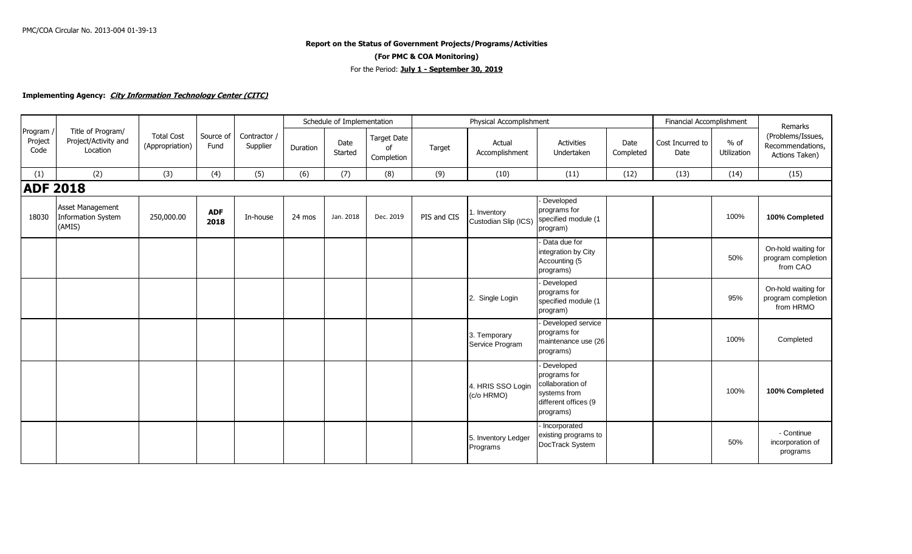## **Report on the Status of Government Projects/Programs/Activities (For PMC & COA Monitoring)** For the Period: **July 1 - September 30, 2019**

## **Implementing Agency: City Information Technology Center (CITC)**

|                            |                                                         |                                      |                    |                          | Schedule of Implementation |                 |                                 |             | Physical Accomplishment              |                                                                                                    | Financial Accomplishment | Remarks                  |                              |                                                         |
|----------------------------|---------------------------------------------------------|--------------------------------------|--------------------|--------------------------|----------------------------|-----------------|---------------------------------|-------------|--------------------------------------|----------------------------------------------------------------------------------------------------|--------------------------|--------------------------|------------------------------|---------------------------------------------------------|
| Program<br>Project<br>Code | Title of Program/<br>Project/Activity and<br>Location   | <b>Total Cost</b><br>(Appropriation) | Source of<br>Fund  | Contractor /<br>Supplier | Duration                   | Date<br>Started | Target Date<br>0f<br>Completion | Target      | Actual<br>Accomplishment             | <b>Activities</b><br>Undertaken                                                                    | Date<br>Completed        | Cost Incurred to<br>Date | $%$ of<br><b>Utilization</b> | (Problems/Issues,<br>Recommendations,<br>Actions Taken) |
| (1)                        | (2)                                                     | (3)                                  | (4)                | (5)                      | (6)                        | (7)             | (8)                             | (9)         | (10)                                 | (11)                                                                                               | (12)                     | (13)                     | (14)                         | (15)                                                    |
| <b>ADF 2018</b>            |                                                         |                                      |                    |                          |                            |                 |                                 |             |                                      |                                                                                                    |                          |                          |                              |                                                         |
| 18030                      | Asset Management<br><b>Information System</b><br>(AMIS) | 250,000.00                           | <b>ADF</b><br>2018 | In-house                 | 24 mos                     | Jan. 2018       | Dec. 2019                       | PIS and CIS | I. Inventory<br>Custodian Slip (ICS) | Developed<br>programs for<br>specified module (1<br>program)                                       |                          |                          | 100%                         | 100% Completed                                          |
|                            |                                                         |                                      |                    |                          |                            |                 |                                 |             |                                      | Data due for<br>integration by City<br>Accounting (5<br>programs)                                  |                          |                          | 50%                          | On-hold waiting for<br>program completion<br>from CAO   |
|                            |                                                         |                                      |                    |                          |                            |                 |                                 |             | 2. Single Login                      | Developed<br>programs for<br>specified module (1<br>program)                                       |                          |                          | 95%                          | On-hold waiting for<br>program completion<br>from HRMO  |
|                            |                                                         |                                      |                    |                          |                            |                 |                                 |             | 3. Temporary<br>Service Program      | Developed service<br>programs for<br>maintenance use (26<br>programs)                              |                          |                          | 100%                         | Completed                                               |
|                            |                                                         |                                      |                    |                          |                            |                 |                                 |             | 4. HRIS SSO Login<br>(c/o HRMO)      | Developed<br>programs for<br>collaboration of<br>systems from<br>different offices (9<br>programs) |                          |                          | 100%                         | 100% Completed                                          |
|                            |                                                         |                                      |                    |                          |                            |                 |                                 |             | 5. Inventory Ledger<br>Programs      | Incorporated<br>existing programs to<br>DocTrack System                                            |                          |                          | 50%                          | - Continue<br>incorporation of<br>programs              |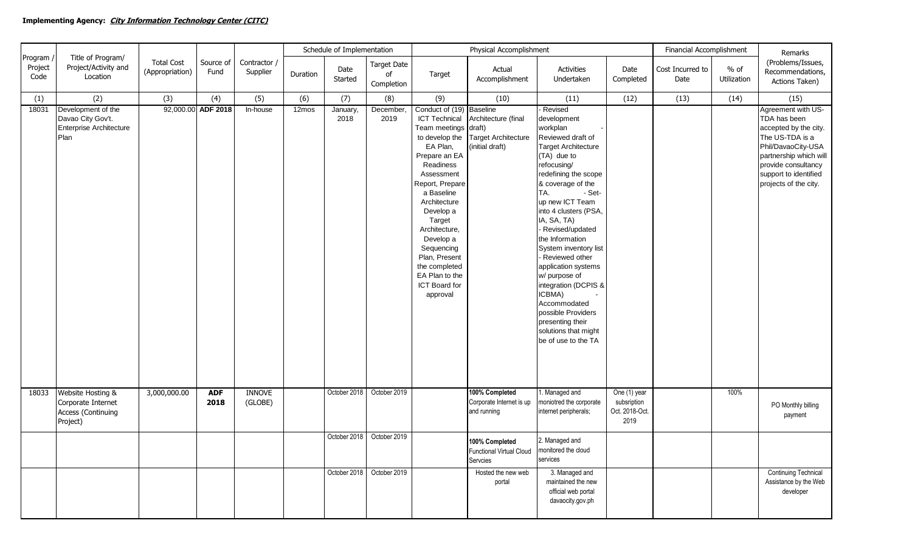|                            |                                                                            |                                      |                    |                          | Schedule of Implementation |                  |                                        | Physical Accomplishment                                                                                                                                                                                                                                                                                                                                 |                                                                      | Financial Accomplishment                                                                                                                                                                                                                                                                                                                                                                                                                                                                                         | Remarks                                               |                          |                       |                                                                                                                                                                                                         |
|----------------------------|----------------------------------------------------------------------------|--------------------------------------|--------------------|--------------------------|----------------------------|------------------|----------------------------------------|---------------------------------------------------------------------------------------------------------------------------------------------------------------------------------------------------------------------------------------------------------------------------------------------------------------------------------------------------------|----------------------------------------------------------------------|------------------------------------------------------------------------------------------------------------------------------------------------------------------------------------------------------------------------------------------------------------------------------------------------------------------------------------------------------------------------------------------------------------------------------------------------------------------------------------------------------------------|-------------------------------------------------------|--------------------------|-----------------------|---------------------------------------------------------------------------------------------------------------------------------------------------------------------------------------------------------|
| Program<br>Project<br>Code | Title of Program/<br>Project/Activity and<br>Location                      | <b>Total Cost</b><br>(Appropriation) | Source of<br>Fund  | Contractor /<br>Supplier | Duration                   | Date<br>Started  | <b>Target Date</b><br>of<br>Completion | Target                                                                                                                                                                                                                                                                                                                                                  | Actual<br>Accomplishment                                             | Activities<br>Undertaken                                                                                                                                                                                                                                                                                                                                                                                                                                                                                         | Date<br>Completed                                     | Cost Incurred to<br>Date | $%$ of<br>Utilization | (Problems/Issues,<br>Recommendations,<br>Actions Taken)                                                                                                                                                 |
| (1)                        | (2)                                                                        | (3)                                  | (4)                | (5)                      | (6)                        | (7)              | (8)                                    | (9)                                                                                                                                                                                                                                                                                                                                                     | (10)                                                                 | (11)                                                                                                                                                                                                                                                                                                                                                                                                                                                                                                             | (12)                                                  | (13)                     | (14)                  | (15)                                                                                                                                                                                                    |
| 18031                      | Development of the<br>Davao City Gov't.<br>Enterprise Architecture<br>Plan |                                      | 92,000.00 ADF 2018 | In-house                 | 12mos                      | January,<br>2018 | December,<br>2019                      | Conduct of (19) Baseline<br><b>ICT Technical</b><br>Team meetings draft)<br>to develop the<br>EA Plan,<br>Prepare an EA<br>Readiness<br>Assessment<br>Report, Prepare<br>a Baseline<br>Architecture<br>Develop a<br>Target<br>Architecture,<br>Develop a<br>Sequencing<br>Plan, Present<br>the completed<br>EA Plan to the<br>ICT Board for<br>approval | Architecture (final<br><b>Target Architecture</b><br>(initial draft) | Revised<br>development<br>workplan<br>Reviewed draft of<br><b>Target Architecture</b><br>(TA) due to<br>refocusing/<br>redefining the scope<br>& coverage of the<br>- Set-<br>TA.<br>up new ICT Team<br>into 4 clusters (PSA,<br>IA, SA, TA)<br>Revised/updated<br>the Information<br>System inventory list<br>Reviewed other<br>application systems<br>w/ purpose of<br>integration (DCPIS &<br>ICBMA)<br>Accommodated<br>possible Providers<br>presenting their<br>solutions that might<br>be of use to the TA |                                                       |                          |                       | Agreement with US-<br>TDA has been<br>accepted by the city.<br>The US-TDA is a<br>Phil/DavaoCity-USA<br>partnership which will<br>provide consultancy<br>support to identified<br>projects of the city. |
| 18033                      | Website Hosting &<br>Corporate Internet<br>Access (Continuing<br>Project)  | 3,000,000.00                         | <b>ADF</b><br>2018 | <b>INNOVE</b><br>(GLOBE) |                            | October 2018     | October 2019                           |                                                                                                                                                                                                                                                                                                                                                         | 100% Completed<br>Corporate Internet is up<br>and running            | 1. Managed and<br>moniotred the corporate<br>internet peripherals;                                                                                                                                                                                                                                                                                                                                                                                                                                               | One (1) year<br>subsription<br>Oct. 2018-Oct.<br>2019 |                          | 100%                  | PO Monthly billing<br>payment                                                                                                                                                                           |
|                            |                                                                            |                                      |                    |                          |                            |                  | October 2018   October 2019            |                                                                                                                                                                                                                                                                                                                                                         | 100% Completed<br><b>Functional Virtual Cloud</b><br>Servcies        | 2. Managed and<br>monitored the cloud<br>services                                                                                                                                                                                                                                                                                                                                                                                                                                                                |                                                       |                          |                       |                                                                                                                                                                                                         |
|                            |                                                                            |                                      |                    |                          |                            |                  | October 2018  October 2019             |                                                                                                                                                                                                                                                                                                                                                         | Hosted the new web<br>portal                                         | 3. Managed and<br>maintained the new<br>official web portal<br>davaocity.gov.ph                                                                                                                                                                                                                                                                                                                                                                                                                                  |                                                       |                          |                       | <b>Continuing Technical</b><br>Assistance by the Web<br>developer                                                                                                                                       |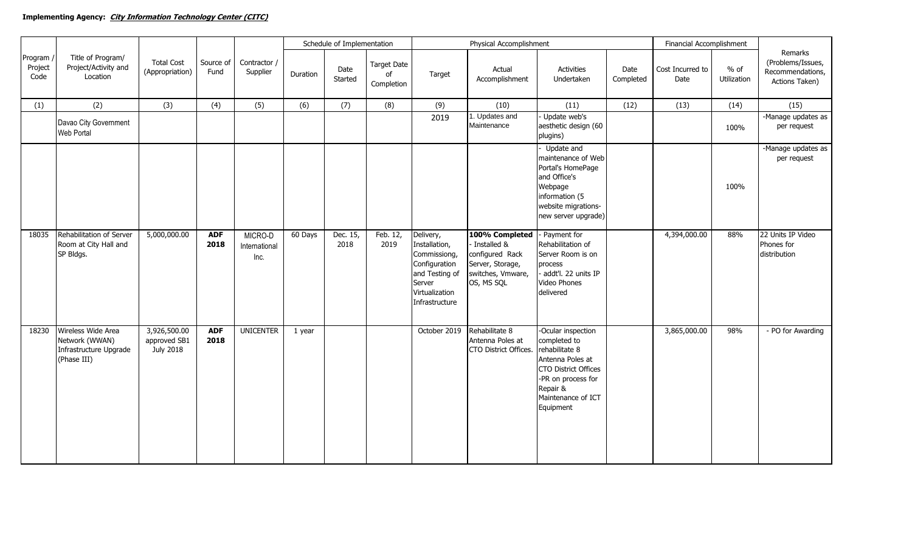|                            | Title of Program/<br>Project/Activity and<br>Location                         |                                           |                    |                                  | Schedule of Implementation |                  |                                        | Physical Accomplishment                                                                                                     |                                                                                                         |                                                                                                                                                                              |                   | Financial Accomplishment                          |      |                                                                    |
|----------------------------|-------------------------------------------------------------------------------|-------------------------------------------|--------------------|----------------------------------|----------------------------|------------------|----------------------------------------|-----------------------------------------------------------------------------------------------------------------------------|---------------------------------------------------------------------------------------------------------|------------------------------------------------------------------------------------------------------------------------------------------------------------------------------|-------------------|---------------------------------------------------|------|--------------------------------------------------------------------|
| Program<br>Project<br>Code |                                                                               | <b>Total Cost</b><br>(Appropriation)      | Source of<br>Fund  | Contractor /<br>Supplier         | Duration                   | Date<br>Started  | <b>Target Date</b><br>of<br>Completion | Target                                                                                                                      | Actual<br>Accomplishment                                                                                | <b>Activities</b><br>Undertaken                                                                                                                                              | Date<br>Completed | $%$ of<br>Cost Incurred to<br>Utilization<br>Date |      | Remarks<br>(Problems/Issues,<br>Recommendations,<br>Actions Taken) |
| (1)                        | (2)                                                                           | (3)                                       | (4)                | (5)                              | (6)                        | (7)              | (8)                                    | (9)                                                                                                                         | (10)                                                                                                    | (11)                                                                                                                                                                         | (12)              | (13)                                              | (14) | (15)                                                               |
|                            | Davao City Government<br>Web Portal                                           |                                           |                    |                                  |                            |                  |                                        | 2019                                                                                                                        | 1. Updates and<br>Maintenance                                                                           | Update web's<br>aesthetic design (60<br>plugins)                                                                                                                             |                   |                                                   | 100% | -Manage updates as<br>per request                                  |
|                            |                                                                               |                                           |                    |                                  |                            |                  |                                        |                                                                                                                             |                                                                                                         | Update and<br>maintenance of Web<br>Portal's HomePage<br>and Office's<br>Webpage<br>information (5<br>website migrations-<br>new server upgrade)                             |                   |                                                   | 100% | -Manage updates as<br>per request                                  |
| 18035                      | Rehabilitation of Server<br>Room at City Hall and<br>SP Bldgs.                | 5,000,000.00                              | <b>ADF</b><br>2018 | MICRO-D<br>International<br>Inc. | 60 Days                    | Dec. 15,<br>2018 | Feb. 12,<br>2019                       | Delivery,<br>Installation,<br>Commissiong,<br>Configuration<br>and Testing of<br>Server<br>Virtualization<br>Infrastructure | 100% Completed<br>Installed &<br>configured Rack<br>Server, Storage,<br>switches, Vmware,<br>OS, MS SQL | - Payment for<br>Rehabilitation of<br>Server Room is on<br>process<br>addt'l. 22 units IP<br>Video Phones<br>delivered                                                       |                   | 4,394,000.00                                      | 88%  | 22 Units IP Video<br>Phones for<br>distribution                    |
| 18230                      | Wireless Wide Area<br>Network (WWAN)<br>Infrastructure Upgrade<br>(Phase III) | 3,926,500.00<br>approved SB1<br>July 2018 | <b>ADF</b><br>2018 | <b>UNICENTER</b>                 | 1 year                     |                  |                                        | October 2019                                                                                                                | Rehabilitate 8<br>Antenna Poles at<br>CTO District Offices.                                             | -Ocular inspection<br>completed to<br>rehabilitate 8<br>Antenna Poles at<br><b>CTO District Offices</b><br>-PR on process for<br>Repair &<br>Maintenance of ICT<br>Equipment |                   | 3,865,000.00                                      | 98%  | - PO for Awarding                                                  |